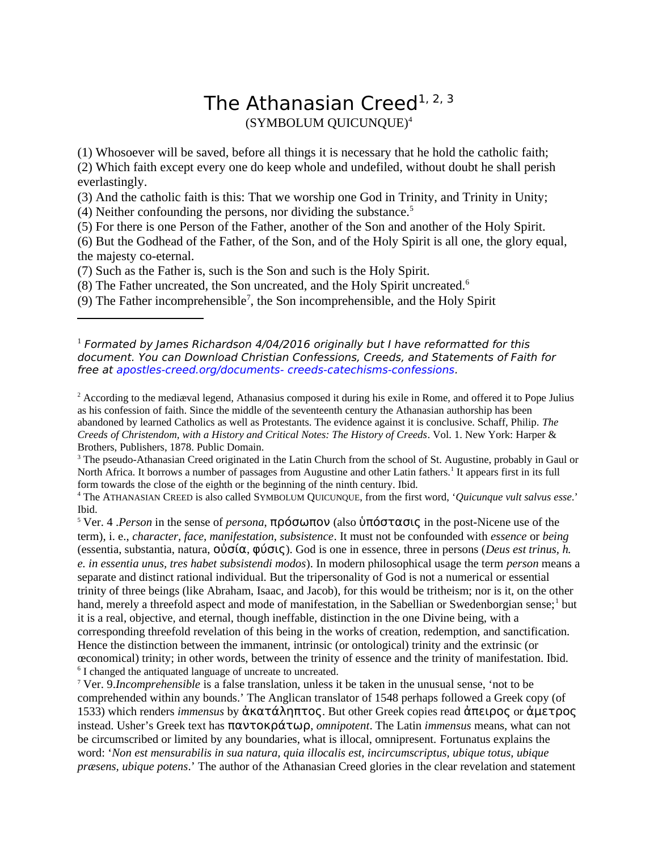## The Athanasian Creed<sup>[1,](#page-0-0) [2,](#page-0-1) [3](#page-0-2)</sup> (SYMBOLUM QUICUNQUE)[4](#page-0-3)

(1) Whosoever will be saved, before all things it is necessary that he hold the catholic faith; (2) Which faith except every one do keep whole and undefiled, without doubt he shall perish everlastingly.

(3) And the catholic faith is this: That we worship one God in Trinity, and Trinity in Unity;

(4) Neither confounding the persons, nor dividing the substance. $5$ 

(5) For there is one Person of the Father, another of the Son and another of the Holy Spirit.

(6) But the Godhead of the Father, of the Son, and of the Holy Spirit is all one, the glory equal, the majesty co-eternal.

(7) Such as the Father is, such is the Son and such is the Holy Spirit.

(8) The Father uncreated, the Son uncreated, and the Holy Spirit uncreated.<sup>[6](#page-0-5)</sup>

(9) The Father incomprehensible<sup>[7](#page-0-6)</sup>, the Son incomprehensible, and the Holy Spirit

<span id="page-0-0"></span> $^1$  Formated by James Richardson 4/04/2016 originally but I have reformatted for this document. You can Download Christian Confessions, Creeds, and Statements of Faith for free at apostles-creed.org/documents- creeds-catechisms-confessions.

<span id="page-0-1"></span><sup>2</sup> According to the mediæval legend, Athanasius composed it during his exile in Rome, and offered it to Pope Julius as his confession of faith. Since the middle of the seventeenth century the Athanasian authorship has been abandoned by learned Catholics as well as Protestants. The evidence against it is conclusive. Schaff, Philip. *The Creeds of Christendom, with a History and Critical Notes: The History of Creeds*. Vol. 1. New York: Harper & Brothers, Publishers, 1878. Public Domain.

<span id="page-0-2"></span><sup>3</sup> The pseudo-Athanasian Creed originated in the Latin Church from the school of St. Augustine, probably in Gaul or North Africa. It borrows a number of passages from Augustine and other Latin fathers.<sup>1</sup> It appears first in its full form towards the close of the eighth or the beginning of the ninth century. Ibid.

<span id="page-0-3"></span>4 The ATHANASIAN CREED is also called SYMBOLUM QUICUNQUE, from the first word, '*Quicunque vult salvus esse*.' Ibid.

<span id="page-0-4"></span><sup>5</sup> Ver. 4 .*Person* in the sense of *persona*, πρόσωπον (also ὑπόστασις in the post-Nicene use of the term), i. e., *character, face, manifestation, subsistence*. It must not be confounded with *essence* or *being* (essentia, substantia, natura, οὐσία, φύσις). God is one in essence, three in persons (*Deus est trinus, h. e. in essentia unus, tres habet subsistendi modos*). In modern philosophical usage the term *person* means a separate and distinct rational individual. But the tripersonality of God is not a numerical or essential trinity of three beings (like Abraham, Isaac, and Jacob), for this would be tritheism; nor is it, on the other hand, merely a threefold aspect and mode of manifestation, in the Sabellian or Swedenborgian sense;<sup>1</sup> but it is a real, objective, and eternal, though ineffable, distinction in the one Divine being, with a corresponding threefold revelation of this being in the works of creation, redemption, and sanctification. Hence the distinction between the immanent, intrinsic (or ontological) trinity and the extrinsic (or œconomical) trinity; in other words, between the trinity of essence and the trinity of manifestation. Ibid. <sup>6</sup> I changed the antiquated language of uncreate to uncreated.

<span id="page-0-6"></span><span id="page-0-5"></span><sup>7</sup> Ver. 9.*Incomprehensible* is a false translation, unless it be taken in the unusual sense, 'not to be comprehended within any bounds.' The Anglican translator of 1548 perhaps followed a Greek copy (of 1533) which renders *immensus* by ἀκατάληπτος. But other Greek copies read ἀπειρος or ἀμετρος instead. Usher's Greek text has παντοκράτωρ, *omnipotent*. The Latin *immensus* means, what can not be circumscribed or limited by any boundaries, what is illocal, omnipresent. Fortunatus explains the word: '*Non est mensurabilis in sua natura, quia illocalis est, incircumscriptus, ubique totus, ubique præsens, ubique potens*.' The author of the Athanasian Creed glories in the clear revelation and statement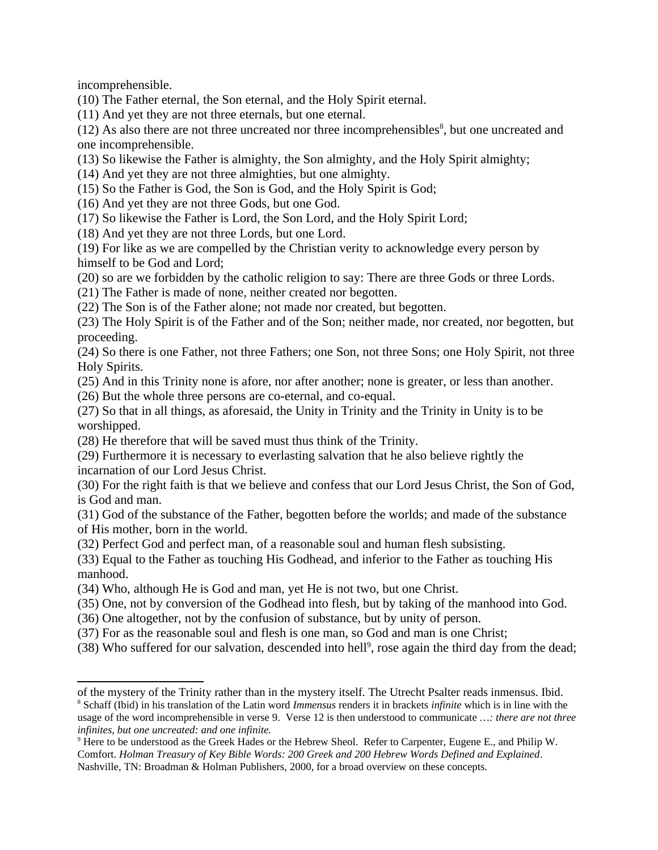incomprehensible.

(10) The Father eternal, the Son eternal, and the Holy Spirit eternal.

(11) And yet they are not three eternals, but one eternal.

 $(12)$  As also there are not three uncreated nor three incomprehensibles<sup>[8](#page-1-0)</sup>, but one uncreated and one incomprehensible.

(13) So likewise the Father is almighty, the Son almighty, and the Holy Spirit almighty;

(14) And yet they are not three almighties, but one almighty.

(15) So the Father is God, the Son is God, and the Holy Spirit is God;

(16) And yet they are not three Gods, but one God.

(17) So likewise the Father is Lord, the Son Lord, and the Holy Spirit Lord;

(18) And yet they are not three Lords, but one Lord.

(19) For like as we are compelled by the Christian verity to acknowledge every person by himself to be God and Lord;

(20) so are we forbidden by the catholic religion to say: There are three Gods or three Lords.

(21) The Father is made of none, neither created nor begotten.

(22) The Son is of the Father alone; not made nor created, but begotten.

(23) The Holy Spirit is of the Father and of the Son; neither made, nor created, nor begotten, but proceeding.

(24) So there is one Father, not three Fathers; one Son, not three Sons; one Holy Spirit, not three Holy Spirits.

(25) And in this Trinity none is afore, nor after another; none is greater, or less than another.

(26) But the whole three persons are co-eternal, and co-equal.

(27) So that in all things, as aforesaid, the Unity in Trinity and the Trinity in Unity is to be worshipped.

(28) He therefore that will be saved must thus think of the Trinity.

(29) Furthermore it is necessary to everlasting salvation that he also believe rightly the incarnation of our Lord Jesus Christ.

(30) For the right faith is that we believe and confess that our Lord Jesus Christ, the Son of God, is God and man.

(31) God of the substance of the Father, begotten before the worlds; and made of the substance of His mother, born in the world.

(32) Perfect God and perfect man, of a reasonable soul and human flesh subsisting.

(33) Equal to the Father as touching His Godhead, and inferior to the Father as touching His manhood.

(34) Who, although He is God and man, yet He is not two, but one Christ.

(35) One, not by conversion of the Godhead into flesh, but by taking of the manhood into God.

(36) One altogether, not by the confusion of substance, but by unity of person.

(37) For as the reasonable soul and flesh is one man, so God and man is one Christ;

(38) Who suffered for our salvation, descended into hell<sup>[9](#page-1-1)</sup>, rose again the third day from the dead;

<span id="page-1-0"></span>of the mystery of the Trinity rather than in the mystery itself. The Utrecht Psalter reads inmensus. Ibid. 8 Schaff (Ibid) in his translation of the Latin word *Immensus* renders it in brackets *infinite* which is in line with the usage of the word incomprehensible in verse 9. Verse 12 is then understood to communicate *…: there are not three infinites, but one uncreated: and one infinite.*

<span id="page-1-1"></span> $9$  Here to be understood as the Greek Hades or the Hebrew Sheol. Refer to Carpenter, Eugene E., and Philip W. Comfort. *Holman Treasury of Key Bible Words: 200 Greek and 200 Hebrew Words Defined and Explained*. Nashville, TN: Broadman & Holman Publishers, 2000, for a broad overview on these concepts.